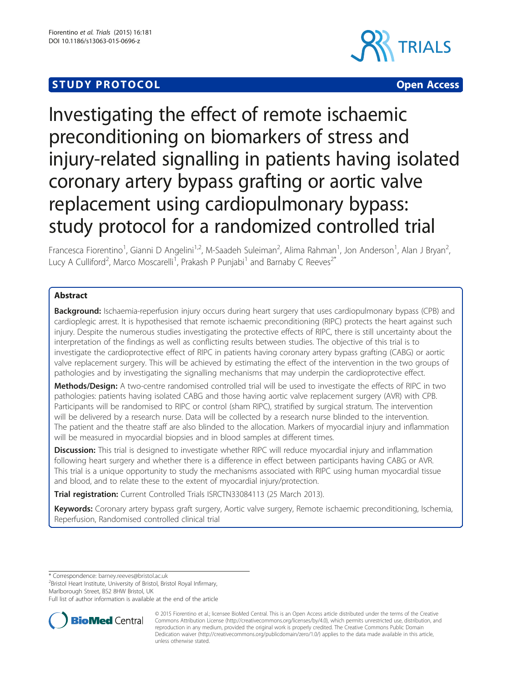# **STUDY PROTOCOL CONSUMING THE CONSUMING OPEN ACCESS**



# Investigating the effect of remote ischaemic preconditioning on biomarkers of stress and injury-related signalling in patients having isolated coronary artery bypass grafting or aortic valve replacement using cardiopulmonary bypass: study protocol for a randomized controlled trial

Francesca Fiorentino<sup>1</sup>, Gianni D Angelini<sup>1,2</sup>, M-Saadeh Suleiman<sup>2</sup>, Alima Rahman<sup>1</sup>, Jon Anderson<sup>1</sup>, Alan J Bryan<sup>2</sup> .<br>, Lucy A Culliford<sup>2</sup>, Marco Moscarelli<sup>1</sup>, Prakash P Punjabi<sup>1</sup> and Barnaby C Reeves<sup>2\*</sup>

# Abstract

**Background:** Ischaemia-reperfusion injury occurs during heart surgery that uses cardiopulmonary bypass (CPB) and cardioplegic arrest. It is hypothesised that remote ischaemic preconditioning (RIPC) protects the heart against such injury. Despite the numerous studies investigating the protective effects of RIPC, there is still uncertainty about the interpretation of the findings as well as conflicting results between studies. The objective of this trial is to investigate the cardioprotective effect of RIPC in patients having coronary artery bypass grafting (CABG) or aortic valve replacement surgery. This will be achieved by estimating the effect of the intervention in the two groups of pathologies and by investigating the signalling mechanisms that may underpin the cardioprotective effect.

Methods/Design: A two-centre randomised controlled trial will be used to investigate the effects of RIPC in two pathologies: patients having isolated CABG and those having aortic valve replacement surgery (AVR) with CPB. Participants will be randomised to RIPC or control (sham RIPC), stratified by surgical stratum. The intervention will be delivered by a research nurse. Data will be collected by a research nurse blinded to the intervention. The patient and the theatre staff are also blinded to the allocation. Markers of myocardial injury and inflammation will be measured in myocardial biopsies and in blood samples at different times.

Discussion: This trial is designed to investigate whether RIPC will reduce myocardial injury and inflammation following heart surgery and whether there is a difference in effect between participants having CABG or AVR. This trial is a unique opportunity to study the mechanisms associated with RIPC using human myocardial tissue and blood, and to relate these to the extent of myocardial injury/protection.

Trial registration: Current Controlled Trials [ISRCTN33084113](http://www.controlled-trials.com/ISRCTN33084113) (25 March 2013).

Keywords: Coronary artery bypass graft surgery, Aortic valve surgery, Remote ischaemic preconditioning, Ischemia, Reperfusion, Randomised controlled clinical trial

\* Correspondence: [barney.reeves@bristol.ac.uk](mailto:barney.reeves@bristol.ac.uk) <sup>2</sup>

<sup>2</sup>Bristol Heart Institute, University of Bristol, Bristol Royal Infirmary, Marlborough Street, BS2 8HW Bristol, UK

Full list of author information is available at the end of the article



<sup>© 2015</sup> Fiorentino et al.; licensee BioMed Central. This is an Open Access article distributed under the terms of the Creative Commons Attribution License [\(http://creativecommons.org/licenses/by/4.0\)](http://creativecommons.org/licenses/by/4.0), which permits unrestricted use, distribution, and reproduction in any medium, provided the original work is properly credited. The Creative Commons Public Domain Dedication waiver [\(http://creativecommons.org/publicdomain/zero/1.0/](http://creativecommons.org/publicdomain/zero/1.0/)) applies to the data made available in this article, unless otherwise stated.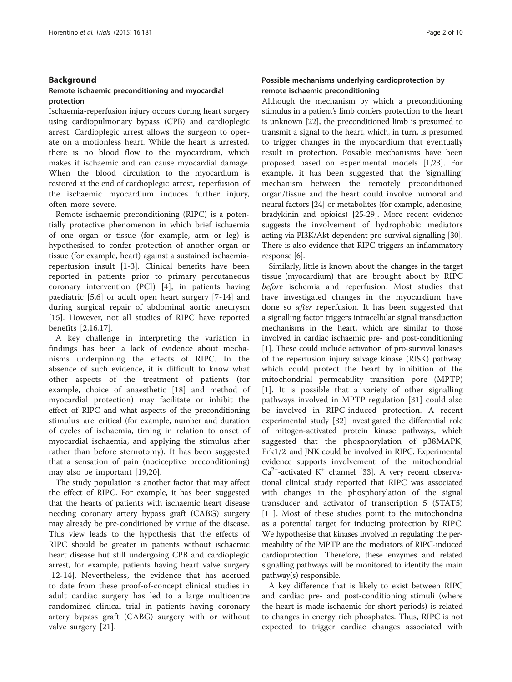# Background

# Remote ischaemic preconditioning and myocardial protection

Ischaemia-reperfusion injury occurs during heart surgery using cardiopulmonary bypass (CPB) and cardioplegic arrest. Cardioplegic arrest allows the surgeon to operate on a motionless heart. While the heart is arrested, there is no blood flow to the myocardium, which makes it ischaemic and can cause myocardial damage. When the blood circulation to the myocardium is restored at the end of cardioplegic arrest, reperfusion of the ischaemic myocardium induces further injury, often more severe.

Remote ischaemic preconditioning (RIPC) is a potentially protective phenomenon in which brief ischaemia of one organ or tissue (for example, arm or leg) is hypothesised to confer protection of another organ or tissue (for example, heart) against a sustained ischaemiareperfusion insult [\[1](#page-8-0)-[3\]](#page-8-0). Clinical benefits have been reported in patients prior to primary percutaneous coronary intervention (PCI) [[4](#page-8-0)], in patients having paediatric [[5,6](#page-8-0)] or adult open heart surgery [[7-14](#page-8-0)] and during surgical repair of abdominal aortic aneurysm [[15\]](#page-9-0). However, not all studies of RIPC have reported benefits [\[2](#page-8-0),[16,17\]](#page-9-0).

A key challenge in interpreting the variation in findings has been a lack of evidence about mechanisms underpinning the effects of RIPC. In the absence of such evidence, it is difficult to know what other aspects of the treatment of patients (for example, choice of anaesthetic [\[18](#page-9-0)] and method of myocardial protection) may facilitate or inhibit the effect of RIPC and what aspects of the preconditioning stimulus are critical (for example, number and duration of cycles of ischaemia, timing in relation to onset of myocardial ischaemia, and applying the stimulus after rather than before sternotomy). It has been suggested that a sensation of pain (nociceptive preconditioning) may also be important [\[19](#page-9-0),[20\]](#page-9-0).

The study population is another factor that may affect the effect of RIPC. For example, it has been suggested that the hearts of patients with ischaemic heart disease needing coronary artery bypass graft (CABG) surgery may already be pre-conditioned by virtue of the disease. This view leads to the hypothesis that the effects of RIPC should be greater in patients without ischaemic heart disease but still undergoing CPB and cardioplegic arrest, for example, patients having heart valve surgery [[12-14\]](#page-8-0). Nevertheless, the evidence that has accrued to date from these proof-of-concept clinical studies in adult cardiac surgery has led to a large multicentre randomized clinical trial in patients having coronary artery bypass graft (CABG) surgery with or without valve surgery [\[21](#page-9-0)].

# Possible mechanisms underlying cardioprotection by remote ischaemic preconditioning

Although the mechanism by which a preconditioning stimulus in a patient's limb confers protection to the heart is unknown [\[22](#page-9-0)], the preconditioned limb is presumed to transmit a signal to the heart, which, in turn, is presumed to trigger changes in the myocardium that eventually result in protection. Possible mechanisms have been proposed based on experimental models [[1,](#page-8-0)[23\]](#page-9-0). For example, it has been suggested that the 'signalling' mechanism between the remotely preconditioned organ/tissue and the heart could involve humoral and neural factors [\[24](#page-9-0)] or metabolites (for example, adenosine, bradykinin and opioids) [\[25-29\]](#page-9-0). More recent evidence suggests the involvement of hydrophobic mediators acting via PI3K/Akt-dependent pro-survival signalling [[30](#page-9-0)]. There is also evidence that RIPC triggers an inflammatory response [\[6\]](#page-8-0).

Similarly, little is known about the changes in the target tissue (myocardium) that are brought about by RIPC before ischemia and reperfusion. Most studies that have investigated changes in the myocardium have done so after reperfusion. It has been suggested that a signalling factor triggers intracellular signal transduction mechanisms in the heart, which are similar to those involved in cardiac ischaemic pre- and post-conditioning [[1\]](#page-8-0). These could include activation of pro-survival kinases of the reperfusion injury salvage kinase (RISK) pathway, which could protect the heart by inhibition of the mitochondrial permeability transition pore (MPTP) [[1](#page-8-0)]. It is possible that a variety of other signalling pathways involved in MPTP regulation [\[31](#page-9-0)] could also be involved in RIPC-induced protection. A recent experimental study [\[32\]](#page-9-0) investigated the differential role of mitogen-activated protein kinase pathways, which suggested that the phosphorylation of p38MAPK, Erk1/2 and JNK could be involved in RIPC. Experimental evidence supports involvement of the mitochondrial  $Ca<sup>2+</sup>$ -activated K<sup>+</sup> channel [\[33\]](#page-9-0). A very recent observational clinical study reported that RIPC was associated with changes in the phosphorylation of the signal transducer and activator of transcription 5 (STAT5) [[11\]](#page-8-0). Most of these studies point to the mitochondria as a potential target for inducing protection by RIPC. We hypothesise that kinases involved in regulating the permeability of the MPTP are the mediators of RIPC-induced cardioprotection. Therefore, these enzymes and related signalling pathways will be monitored to identify the main pathway(s) responsible.

A key difference that is likely to exist between RIPC and cardiac pre- and post-conditioning stimuli (where the heart is made ischaemic for short periods) is related to changes in energy rich phosphates. Thus, RIPC is not expected to trigger cardiac changes associated with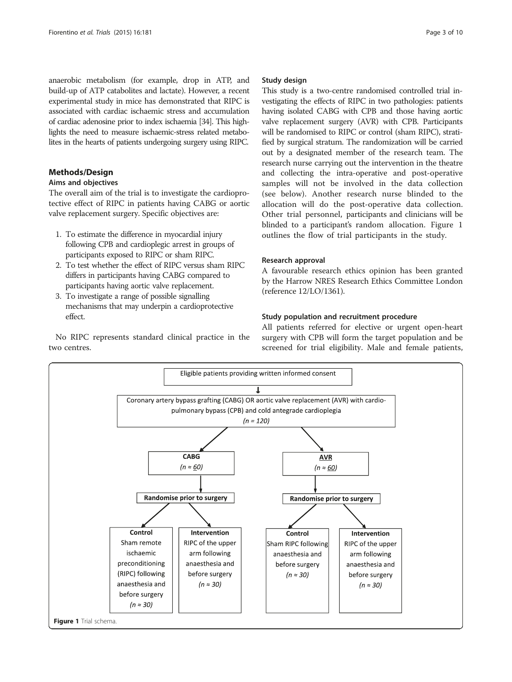anaerobic metabolism (for example, drop in ATP, and build-up of ATP catabolites and lactate). However, a recent experimental study in mice has demonstrated that RIPC is associated with cardiac ischaemic stress and accumulation of cardiac adenosine prior to index ischaemia [\[34](#page-9-0)]. This highlights the need to measure ischaemic-stress related metabolites in the hearts of patients undergoing surgery using RIPC.

# Methods/Design

# Aims and objectives

The overall aim of the trial is to investigate the cardioprotective effect of RIPC in patients having CABG or aortic valve replacement surgery. Specific objectives are:

- 1. To estimate the difference in myocardial injury following CPB and cardioplegic arrest in groups of participants exposed to RIPC or sham RIPC.
- 2. To test whether the effect of RIPC versus sham RIPC differs in participants having CABG compared to participants having aortic valve replacement.
- 3. To investigate a range of possible signalling mechanisms that may underpin a cardioprotective effect.

No RIPC represents standard clinical practice in the two centres.

# Study design

This study is a two-centre randomised controlled trial investigating the effects of RIPC in two pathologies: patients having isolated CABG with CPB and those having aortic valve replacement surgery (AVR) with CPB. Participants will be randomised to RIPC or control (sham RIPC), stratified by surgical stratum. The randomization will be carried out by a designated member of the research team. The research nurse carrying out the intervention in the theatre and collecting the intra-operative and post-operative samples will not be involved in the data collection (see below). Another research nurse blinded to the allocation will do the post-operative data collection. Other trial personnel, participants and clinicians will be blinded to a participant's random allocation. Figure 1 outlines the flow of trial participants in the study.

# Research approval

A favourable research ethics opinion has been granted by the Harrow NRES Research Ethics Committee London (reference 12/LO/1361).

# Study population and recruitment procedure

All patients referred for elective or urgent open-heart surgery with CPB will form the target population and be screened for trial eligibility. Male and female patients,

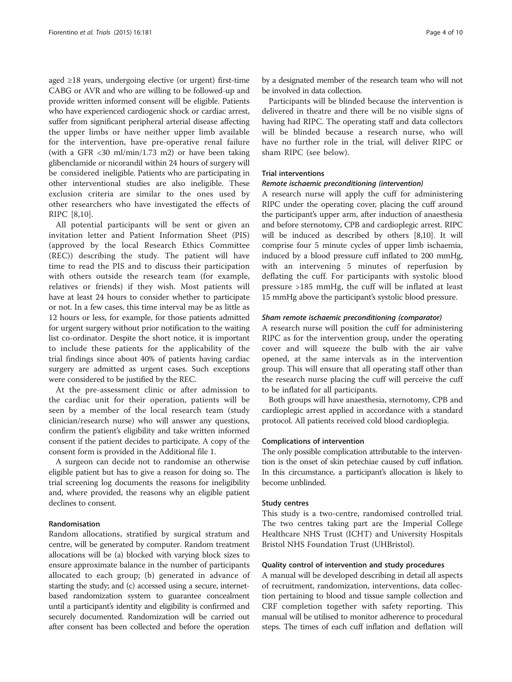aged ≥18 years, undergoing elective (or urgent) first-time CABG or AVR and who are willing to be followed-up and provide written informed consent will be eligible. Patients who have experienced cardiogenic shock or cardiac arrest, suffer from significant peripheral arterial disease affecting the upper limbs or have neither upper limb available for the intervention, have pre-operative renal failure (with a GFR <30 ml/min/1.73 m2) or have been taking glibenclamide or nicorandil within 24 hours of surgery will be considered ineligible. Patients who are participating in other interventional studies are also ineligible. These exclusion criteria are similar to the ones used by other researchers who have investigated the effects of RIPC [[8,10](#page-8-0)].

All potential participants will be sent or given an invitation letter and Patient Information Sheet (PIS) (approved by the local Research Ethics Committee (REC)) describing the study. The patient will have time to read the PIS and to discuss their participation with others outside the research team (for example, relatives or friends) if they wish. Most patients will have at least 24 hours to consider whether to participate or not. In a few cases, this time interval may be as little as 12 hours or less, for example, for those patients admitted for urgent surgery without prior notification to the waiting list co-ordinator. Despite the short notice, it is important to include these patients for the applicability of the trial findings since about 40% of patients having cardiac surgery are admitted as urgent cases. Such exceptions were considered to be justified by the REC.

At the pre-assessment clinic or after admission to the cardiac unit for their operation, patients will be seen by a member of the local research team (study clinician/research nurse) who will answer any questions, confirm the patient's eligibility and take written informed consent if the patient decides to participate. A copy of the consent form is provided in the Additional file [1](#page-8-0).

A surgeon can decide not to randomise an otherwise eligible patient but has to give a reason for doing so. The trial screening log documents the reasons for ineligibility and, where provided, the reasons why an eligible patient declines to consent.

#### Randomisation

Random allocations, stratified by surgical stratum and centre, will be generated by computer. Random treatment allocations will be (a) blocked with varying block sizes to ensure approximate balance in the number of participants allocated to each group; (b) generated in advance of starting the study; and (c) accessed using a secure, internetbased randomization system to guarantee concealment until a participant's identity and eligibility is confirmed and securely documented. Randomization will be carried out after consent has been collected and before the operation

by a designated member of the research team who will not be involved in data collection.

Participants will be blinded because the intervention is delivered in theatre and there will be no visible signs of having had RIPC. The operating staff and data collectors will be blinded because a research nurse, who will have no further role in the trial, will deliver RIPC or sham RIPC (see below).

# Trial interventions

#### Remote ischaemic preconditioning (intervention)

A research nurse will apply the cuff for administering RIPC under the operating cover, placing the cuff around the participant's upper arm, after induction of anaesthesia and before sternotomy, CPB and cardioplegic arrest. RIPC will be induced as described by others [[8](#page-8-0),[10](#page-8-0)]. It will comprise four 5 minute cycles of upper limb ischaemia, induced by a blood pressure cuff inflated to 200 mmHg, with an intervening 5 minutes of reperfusion by deflating the cuff. For participants with systolic blood pressure >185 mmHg, the cuff will be inflated at least 15 mmHg above the participant's systolic blood pressure.

#### Sham remote ischaemic preconditioning (comparator)

A research nurse will position the cuff for administering RIPC as for the intervention group, under the operating cover and will squeeze the bulb with the air valve opened, at the same intervals as in the intervention group. This will ensure that all operating staff other than the research nurse placing the cuff will perceive the cuff to be inflated for all participants.

Both groups will have anaesthesia, sternotomy, CPB and cardioplegic arrest applied in accordance with a standard protocol. All patients received cold blood cardioplegia.

#### Complications of intervention

The only possible complication attributable to the intervention is the onset of skin petechiae caused by cuff inflation. In this circumstance, a participant's allocation is likely to become unblinded.

#### Study centres

This study is a two-centre, randomised controlled trial. The two centres taking part are the Imperial College Healthcare NHS Trust (ICHT) and University Hospitals Bristol NHS Foundation Trust (UHBristol).

#### Quality control of intervention and study procedures

A manual will be developed describing in detail all aspects of recruitment, randomization, interventions, data collection pertaining to blood and tissue sample collection and CRF completion together with safety reporting. This manual will be utilised to monitor adherence to procedural steps. The times of each cuff inflation and deflation will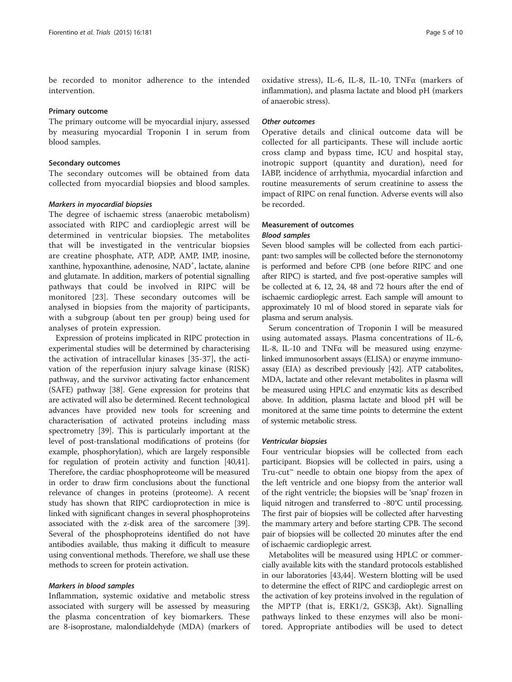be recorded to monitor adherence to the intended intervention.

### Primary outcome

The primary outcome will be myocardial injury, assessed by measuring myocardial Troponin I in serum from blood samples.

#### Secondary outcomes

The secondary outcomes will be obtained from data collected from myocardial biopsies and blood samples.

#### Markers in myocardial biopsies

The degree of ischaemic stress (anaerobic metabolism) associated with RIPC and cardioplegic arrest will be determined in ventricular biopsies. The metabolites that will be investigated in the ventricular biopsies are creatine phosphate, ATP, ADP, AMP, IMP, inosine, xanthine, hypoxanthine, adenosine, NAD<sup>+</sup>, lactate, alanine and glutamate. In addition, markers of potential signalling pathways that could be involved in RIPC will be monitored [\[23](#page-9-0)]. These secondary outcomes will be analysed in biopsies from the majority of participants, with a subgroup (about ten per group) being used for analyses of protein expression.

Expression of proteins implicated in RIPC protection in experimental studies will be determined by characterising the activation of intracellular kinases [[35-37\]](#page-9-0), the activation of the reperfusion injury salvage kinase (RISK) pathway, and the survivor activating factor enhancement (SAFE) pathway [\[38\]](#page-9-0). Gene expression for proteins that are activated will also be determined. Recent technological advances have provided new tools for screening and characterisation of activated proteins including mass spectrometry [\[39\]](#page-9-0). This is particularly important at the level of post-translational modifications of proteins (for example, phosphorylation), which are largely responsible for regulation of protein activity and function [\[40,41](#page-9-0)]. Therefore, the cardiac phosphoproteome will be measured in order to draw firm conclusions about the functional relevance of changes in proteins (proteome). A recent study has shown that RIPC cardioprotection in mice is linked with significant changes in several phosphoproteins associated with the z-disk area of the sarcomere [[39](#page-9-0)]. Several of the phosphoproteins identified do not have antibodies available, thus making it difficult to measure using conventional methods. Therefore, we shall use these methods to screen for protein activation.

#### Markers in blood samples

Inflammation, systemic oxidative and metabolic stress associated with surgery will be assessed by measuring the plasma concentration of key biomarkers. These are 8-isoprostane, malondialdehyde (MDA) (markers of

oxidative stress), IL-6, IL-8, IL-10, TNFα (markers of inflammation), and plasma lactate and blood pH (markers of anaerobic stress).

#### Other outcomes

Operative details and clinical outcome data will be collected for all participants. These will include aortic cross clamp and bypass time, ICU and hospital stay, inotropic support (quantity and duration), need for IABP, incidence of arrhythmia, myocardial infarction and routine measurements of serum creatinine to assess the impact of RIPC on renal function. Adverse events will also be recorded.

# Measurement of outcomes

# Blood samples

Seven blood samples will be collected from each participant: two samples will be collected before the sternonotomy is performed and before CPB (one before RIPC and one after RIPC) is started, and five post-operative samples will be collected at 6, 12, 24, 48 and 72 hours after the end of ischaemic cardioplegic arrest. Each sample will amount to approximately 10 ml of blood stored in separate vials for plasma and serum analysis.

Serum concentration of Troponin I will be measured using automated assays. Plasma concentrations of IL-6, IL-8, IL-10 and TNFα will be measured using enzymelinked immunosorbent assays (ELISA) or enzyme immunoassay (EIA) as described previously [[42](#page-9-0)]. ATP catabolites, MDA, lactate and other relevant metabolites in plasma will be measured using HPLC and enzymatic kits as described above. In addition, plasma lactate and blood pH will be monitored at the same time points to determine the extent of systemic metabolic stress.

#### Ventricular biopsies

Four ventricular biopsies will be collected from each participant. Biopsies will be collected in pairs, using a Tru-cut™ needle to obtain one biopsy from the apex of the left ventricle and one biopsy from the anterior wall of the right ventricle; the biopsies will be 'snap' frozen in liquid nitrogen and transferred to -80°C until processing. The first pair of biopsies will be collected after harvesting the mammary artery and before starting CPB. The second pair of biopsies will be collected 20 minutes after the end of ischaemic cardioplegic arrest.

Metabolites will be measured using HPLC or commercially available kits with the standard protocols established in our laboratories [\[43,44](#page-9-0)]. Western blotting will be used to determine the effect of RIPC and cardioplegic arrest on the activation of key proteins involved in the regulation of the MPTP (that is, ERK1/2, GSK3β, Akt). Signalling pathways linked to these enzymes will also be monitored. Appropriate antibodies will be used to detect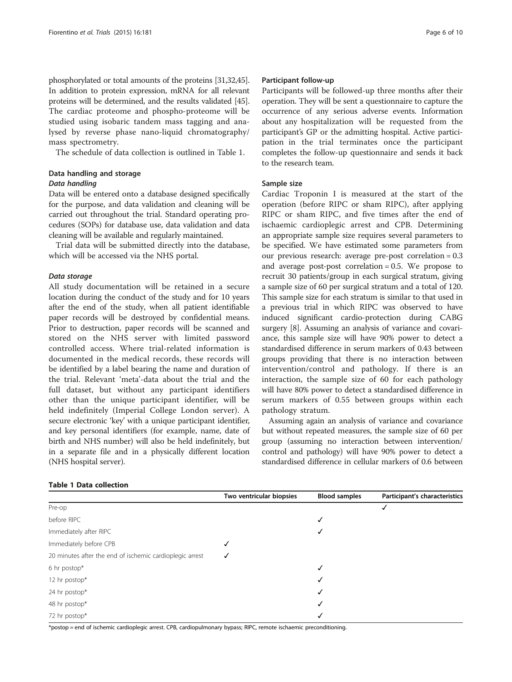<span id="page-5-0"></span>phosphorylated or total amounts of the proteins [[31,32,45](#page-9-0)]. In addition to protein expression, mRNA for all relevant proteins will be determined, and the results validated [\[45](#page-9-0)]. The cardiac proteome and phospho-proteome will be studied using isobaric tandem mass tagging and analysed by reverse phase nano-liquid chromatography/ mass spectrometry.

The schedule of data collection is outlined in Table 1.

# Data handling and storage

#### Data handling

Data will be entered onto a database designed specifically for the purpose, and data validation and cleaning will be carried out throughout the trial. Standard operating procedures (SOPs) for database use, data validation and data cleaning will be available and regularly maintained.

Trial data will be submitted directly into the database, which will be accessed via the NHS portal.

# Data storage

All study documentation will be retained in a secure location during the conduct of the study and for 10 years after the end of the study, when all patient identifiable paper records will be destroyed by confidential means. Prior to destruction, paper records will be scanned and stored on the NHS server with limited password controlled access. Where trial-related information is documented in the medical records, these records will be identified by a label bearing the name and duration of the trial. Relevant 'meta'-data about the trial and the full dataset, but without any participant identifiers other than the unique participant identifier, will be held indefinitely (Imperial College London server). A secure electronic 'key' with a unique participant identifier, and key personal identifiers (for example, name, date of birth and NHS number) will also be held indefinitely, but in a separate file and in a physically different location (NHS hospital server).

#### Participant follow-up

Participants will be followed-up three months after their operation. They will be sent a questionnaire to capture the occurrence of any serious adverse events. Information about any hospitalization will be requested from the participant's GP or the admitting hospital. Active participation in the trial terminates once the participant completes the follow-up questionnaire and sends it back to the research team.

# Sample size

Cardiac Troponin I is measured at the start of the operation (before RIPC or sham RIPC), after applying RIPC or sham RIPC, and five times after the end of ischaemic cardioplegic arrest and CPB. Determining an appropriate sample size requires several parameters to be specified. We have estimated some parameters from our previous research: average pre-post correlation = 0.3 and average post-post correlation  $= 0.5$ . We propose to recruit 30 patients/group in each surgical stratum, giving a sample size of 60 per surgical stratum and a total of 120. This sample size for each stratum is similar to that used in a previous trial in which RIPC was observed to have induced significant cardio-protection during CABG surgery [[8](#page-8-0)]. Assuming an analysis of variance and covariance, this sample size will have 90% power to detect a standardised difference in serum markers of 0.43 between groups providing that there is no interaction between intervention/control and pathology. If there is an interaction, the sample size of 60 for each pathology will have 80% power to detect a standardised difference in serum markers of 0.55 between groups within each pathology stratum.

Assuming again an analysis of variance and covariance but without repeated measures, the sample size of 60 per group (assuming no interaction between intervention/ control and pathology) will have 90% power to detect a standardised difference in cellular markers of 0.6 between

# Table 1 Data collection

|                                                          | Two ventricular biopsies | <b>Blood samples</b> | Participant's characteristics |
|----------------------------------------------------------|--------------------------|----------------------|-------------------------------|
| Pre-op                                                   |                          |                      | √                             |
| before RIPC                                              |                          | √                    |                               |
| Immediately after RIPC                                   |                          | √                    |                               |
| Immediately before CPB                                   | ✓                        |                      |                               |
| 20 minutes after the end of ischemic cardioplegic arrest | √                        |                      |                               |
| 6 hr postop*                                             |                          |                      |                               |
| 12 hr postop*                                            |                          | ✓                    |                               |
| 24 hr postop*                                            |                          | ✓                    |                               |
| 48 hr postop*                                            |                          | √                    |                               |
| 72 hr postop*                                            |                          |                      |                               |

\*postop = end of ischemic cardioplegic arrest. CPB, cardiopulmonary bypass; RIPC, remote ischaemic preconditioning.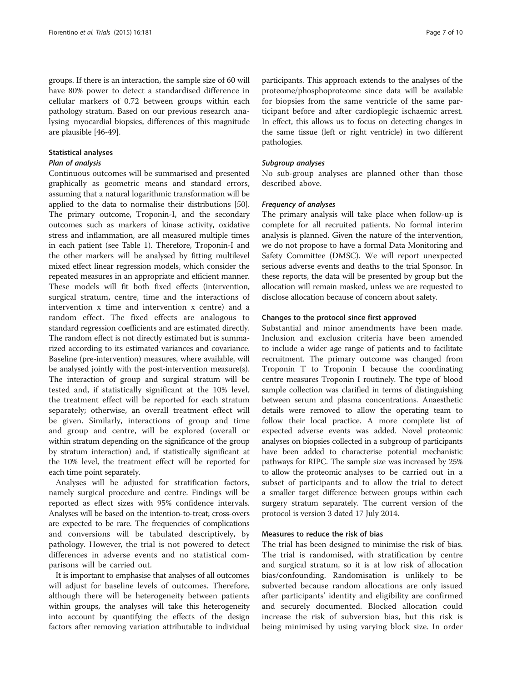# Statistical analyses

# Plan of analysis

Continuous outcomes will be summarised and presented graphically as geometric means and standard errors, assuming that a natural logarithmic transformation will be applied to the data to normalise their distributions [[50](#page-9-0)]. The primary outcome, Troponin-I, and the secondary outcomes such as markers of kinase activity, oxidative stress and inflammation, are all measured multiple times in each patient (see Table [1](#page-5-0)). Therefore, Troponin-I and the other markers will be analysed by fitting multilevel mixed effect linear regression models, which consider the repeated measures in an appropriate and efficient manner. These models will fit both fixed effects (intervention, surgical stratum, centre, time and the interactions of intervention x time and intervention x centre) and a random effect. The fixed effects are analogous to standard regression coefficients and are estimated directly. The random effect is not directly estimated but is summarized according to its estimated variances and covariance. Baseline (pre-intervention) measures, where available, will be analysed jointly with the post-intervention measure(s). The interaction of group and surgical stratum will be tested and, if statistically significant at the 10% level, the treatment effect will be reported for each stratum separately; otherwise, an overall treatment effect will be given. Similarly, interactions of group and time and group and centre, will be explored (overall or within stratum depending on the significance of the group by stratum interaction) and, if statistically significant at the 10% level, the treatment effect will be reported for each time point separately.

Analyses will be adjusted for stratification factors, namely surgical procedure and centre. Findings will be reported as effect sizes with 95% confidence intervals. Analyses will be based on the intention-to-treat; cross-overs are expected to be rare. The frequencies of complications and conversions will be tabulated descriptively, by pathology. However, the trial is not powered to detect differences in adverse events and no statistical comparisons will be carried out.

It is important to emphasise that analyses of all outcomes will adjust for baseline levels of outcomes. Therefore, although there will be heterogeneity between patients within groups, the analyses will take this heterogeneity into account by quantifying the effects of the design factors after removing variation attributable to individual

participants. This approach extends to the analyses of the proteome/phosphoproteome since data will be available for biopsies from the same ventricle of the same participant before and after cardioplegic ischaemic arrest. In effect, this allows us to focus on detecting changes in the same tissue (left or right ventricle) in two different pathologies.

# Subgroup analyses

No sub-group analyses are planned other than those described above.

# Frequency of analyses

The primary analysis will take place when follow-up is complete for all recruited patients. No formal interim analysis is planned. Given the nature of the intervention, we do not propose to have a formal Data Monitoring and Safety Committee (DMSC). We will report unexpected serious adverse events and deaths to the trial Sponsor. In these reports, the data will be presented by group but the allocation will remain masked, unless we are requested to disclose allocation because of concern about safety.

#### Changes to the protocol since first approved

Substantial and minor amendments have been made. Inclusion and exclusion criteria have been amended to include a wider age range of patients and to facilitate recruitment. The primary outcome was changed from Troponin T to Troponin I because the coordinating centre measures Troponin I routinely. The type of blood sample collection was clarified in terms of distinguishing between serum and plasma concentrations. Anaesthetic details were removed to allow the operating team to follow their local practice. A more complete list of expected adverse events was added. Novel proteomic analyses on biopsies collected in a subgroup of participants have been added to characterise potential mechanistic pathways for RIPC. The sample size was increased by 25% to allow the proteomic analyses to be carried out in a subset of participants and to allow the trial to detect a smaller target difference between groups within each surgery stratum separately. The current version of the protocol is version 3 dated 17 July 2014.

# Measures to reduce the risk of bias

The trial has been designed to minimise the risk of bias. The trial is randomised, with stratification by centre and surgical stratum, so it is at low risk of allocation bias/confounding. Randomisation is unlikely to be subverted because random allocations are only issued after participants' identity and eligibility are confirmed and securely documented. Blocked allocation could increase the risk of subversion bias, but this risk is being minimised by using varying block size. In order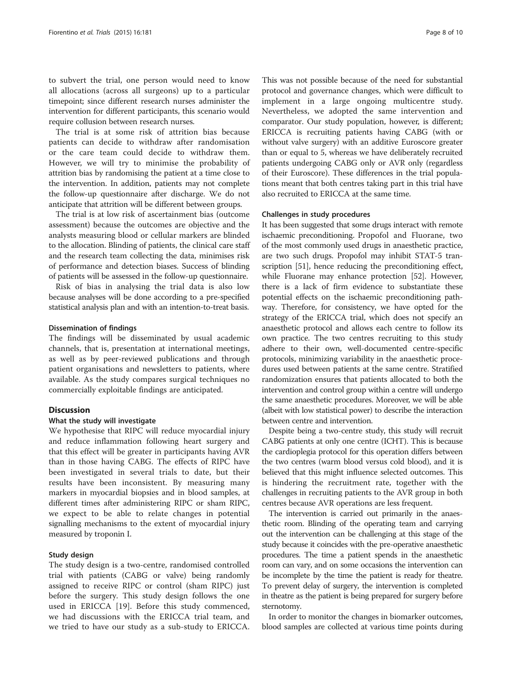to subvert the trial, one person would need to know all allocations (across all surgeons) up to a particular timepoint; since different research nurses administer the intervention for different participants, this scenario would require collusion between research nurses.

The trial is at some risk of attrition bias because patients can decide to withdraw after randomisation or the care team could decide to withdraw them. However, we will try to minimise the probability of attrition bias by randomising the patient at a time close to the intervention. In addition, patients may not complete the follow-up questionnaire after discharge. We do not anticipate that attrition will be different between groups.

The trial is at low risk of ascertainment bias (outcome assessment) because the outcomes are objective and the analysts measuring blood or cellular markers are blinded to the allocation. Blinding of patients, the clinical care staff and the research team collecting the data, minimises risk of performance and detection biases. Success of blinding of patients will be assessed in the follow-up questionnaire.

Risk of bias in analysing the trial data is also low because analyses will be done according to a pre-specified statistical analysis plan and with an intention-to-treat basis.

#### Dissemination of findings

The findings will be disseminated by usual academic channels, that is, presentation at international meetings, as well as by peer-reviewed publications and through patient organisations and newsletters to patients, where available. As the study compares surgical techniques no commercially exploitable findings are anticipated.

# **Discussion**

# What the study will investigate

We hypothesise that RIPC will reduce myocardial injury and reduce inflammation following heart surgery and that this effect will be greater in participants having AVR than in those having CABG. The effects of RIPC have been investigated in several trials to date, but their results have been inconsistent. By measuring many markers in myocardial biopsies and in blood samples, at different times after administering RIPC or sham RIPC, we expect to be able to relate changes in potential signalling mechanisms to the extent of myocardial injury measured by troponin I.

# Study design

The study design is a two-centre, randomised controlled trial with patients (CABG or valve) being randomly assigned to receive RIPC or control (sham RIPC) just before the surgery. This study design follows the one used in ERICCA [[19](#page-9-0)]. Before this study commenced, we had discussions with the ERICCA trial team, and we tried to have our study as a sub-study to ERICCA.

This was not possible because of the need for substantial protocol and governance changes, which were difficult to implement in a large ongoing multicentre study. Nevertheless, we adopted the same intervention and comparator. Our study population, however, is different; ERICCA is recruiting patients having CABG (with or without valve surgery) with an additive Euroscore greater than or equal to 5, whereas we have deliberately recruited patients undergoing CABG only or AVR only (regardless of their Euroscore). These differences in the trial populations meant that both centres taking part in this trial have also recruited to ERICCA at the same time.

### Challenges in study procedures

It has been suggested that some drugs interact with remote ischaemic preconditioning. Propofol and Fluorane, two of the most commonly used drugs in anaesthetic practice, are two such drugs. Propofol may inhibit STAT-5 transcription [[51](#page-9-0)], hence reducing the preconditioning effect, while Fluorane may enhance protection [\[52\]](#page-9-0). However, there is a lack of firm evidence to substantiate these potential effects on the ischaemic preconditioning pathway. Therefore, for consistency, we have opted for the strategy of the ERICCA trial, which does not specify an anaesthetic protocol and allows each centre to follow its own practice. The two centres recruiting to this study adhere to their own, well-documented centre-specific protocols, minimizing variability in the anaesthetic procedures used between patients at the same centre. Stratified randomization ensures that patients allocated to both the intervention and control group within a centre will undergo the same anaesthetic procedures. Moreover, we will be able (albeit with low statistical power) to describe the interaction between centre and intervention.

Despite being a two-centre study, this study will recruit CABG patients at only one centre (ICHT). This is because the cardioplegia protocol for this operation differs between the two centres (warm blood versus cold blood), and it is believed that this might influence selected outcomes. This is hindering the recruitment rate, together with the challenges in recruiting patients to the AVR group in both centres because AVR operations are less frequent.

The intervention is carried out primarily in the anaesthetic room. Blinding of the operating team and carrying out the intervention can be challenging at this stage of the study because it coincides with the pre-operative anaesthetic procedures. The time a patient spends in the anaesthetic room can vary, and on some occasions the intervention can be incomplete by the time the patient is ready for theatre. To prevent delay of surgery, the intervention is completed in theatre as the patient is being prepared for surgery before sternotomy.

In order to monitor the changes in biomarker outcomes, blood samples are collected at various time points during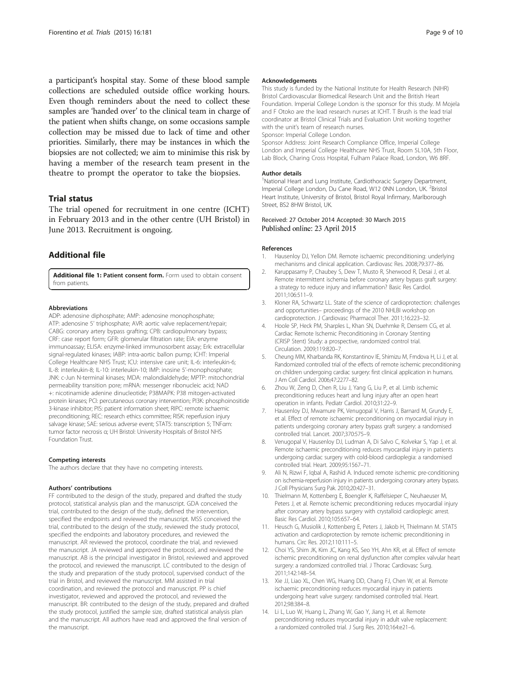<span id="page-8-0"></span>a participant's hospital stay. Some of these blood sample collections are scheduled outside office working hours. Even though reminders about the need to collect these samples are 'handed over' to the clinical team in charge of the patient when shifts change, on some occasions sample collection may be missed due to lack of time and other priorities. Similarly, there may be instances in which the biopsies are not collected; we aim to minimise this risk by having a member of the research team present in the theatre to prompt the operator to take the biopsies.

# Trial status

The trial opened for recruitment in one centre (ICHT) in February 2013 and in the other centre (UH Bristol) in June 2013. Recruitment is ongoing.

# Additional file

[Additional file 1:](http://www.trialsjournal.com/content/supplementary/s13063-015-0696-z-s1.pdf) Patient consent form. Form used to obtain consent from patients.

#### Abbreviations

ADP: adenosine diphosphate; AMP: adenosine monophosphate; ATP: adenosine 5' triphosphate; AVR: aortic valve replacement/repair; CABG: coronary artery bypass grafting; CPB: cardiopulmonary bypass; CRF: case report form; GFR: glomerular filtration rate; EIA: enzyme immunoassay; ELISA: enzyme-linked immunosorbent assay; Erk: extracellular signal-regulated kinases; IABP: intra-aortic ballon pump; ICHT: Imperial College Healthcare NHS Trust; ICU: intensive care unit; IL-6: interleukin-6; IL-8: interleukin-8; IL-10: interleukin-10; IMP: inosine 5'-monophosphate; JNK: c-Jun N-terminal kinases; MDA: malondialdehyde; MPTP: mitochondrial permeability transition pore; mRNA: messenger ribonucleic acid; NAD +: nicotinamide adenine dinucleotide; P38MAPK: P38 mitogen-activated protein kinases; PCI: percutaneous coronary intervention; PI3K: phosphoinositide 3-kinase inhibitor; PIS: patient information sheet; RIPC: remote ischaemic preconditioning; REC: research ethics committee; RISK: reperfusion injury salvage kinase; SAE: serious adverse event; STAT5: transcription 5; TNFαm: tumor factor necrosis α; UH Bristol: University Hospitals of Bristol NHS Foundation Trust.

#### Competing interests

The authors declare that they have no competing interests.

#### Authors' contributions

FF contributed to the design of the study, prepared and drafted the study protocol, statistical analysis plan and the manuscript. GDA conceived the trial, contributed to the design of the study, defined the intervention, specified the endpoints and reviewed the manuscript. MSS conceived the trial, contributed to the design of the study, reviewed the study protocol, specified the endpoints and laboratory procedures, and reviewed the manuscript. AR reviewed the protocol, coordinate the trial, and reviewed the manuscript. JA reviewed and approved the protocol, and reviewed the manuscript. AB is the principal investigator in Bristol, reviewed and approved the protocol, and reviewed the manuscript. LC contributed to the design of the study and preparation of the study protocol, supervised conduct of the trial in Bristol, and reviewed the manuscript. MM assisted in trial coordination, and reviewed the protocol and manuscript. PP is chief investigator, reviewed and approved the protocol, and reviewed the manuscript. BR: contributed to the design of the study, prepared and drafted the study protocol, justified the sample size, drafted statistical analysis plan and the manuscript. All authors have read and approved the final version of the manuscript.

#### Acknowledgements

This study is funded by the National Institute for Health Research (NIHR) Bristol Cardiovascular Biomedical Research Unit and the British Heart Foundation. Imperial College London is the sponsor for this study. M Mojela and F Otoko are the lead research nurses at ICHT. T Brush is the lead trial coordinator at Bristol Clinical Trials and Evaluation Unit working together with the unit's team of research nurses.

Sponsor: Imperial College London.

Sponsor Address: Joint Research Compliance Office, Imperial College London and Imperial College Healthcare NHS Trust, Room 5L10A, 5th Floor, Lab Block, Charing Cross Hospital, Fulham Palace Road, London, W6 8RF.

#### Author details

<sup>1</sup>National Heart and Lung Institute, Cardiothoracic Surgery Department Imperial College London, Du Cane Road, W12 0NN London, UK. <sup>2</sup>Bristol Heart Institute, University of Bristol, Bristol Royal Infirmary, Marlborough Street, BS2 8HW Bristol, UK.

#### Received: 27 October 2014 Accepted: 30 March 2015 Published online: 23 April 2015

#### References

- 1. Hausenloy DJ, Yellon DM. Remote ischaemic preconditioning: underlying mechanisms and clinical application. Cardiovasc Res. 2008;79:377–86.
- 2. Karuppasamy P, Chaubey S, Dew T, Musto R, Sherwood R, Desai J, et al. Remote intermittent ischemia before coronary artery bypass graft surgery: a strategy to reduce injury and inflammation? Basic Res Cardiol. 2011;106:511–9.
- 3. Kloner RA, Schwartz LL. State of the science of cardioprotection: challenges and opportunities– proceedings of the 2010 NHLBI workshop on cardioprotection. J Cardiovasc Pharmacol Ther. 2011;16:223–32.
- 4. Hoole SP, Heck PM, Sharples L, Khan SN, Duehmke R, Densem CG, et al. Cardiac Remote Ischemic Preconditioning in Coronary Stenting (CRISP Stent) Study: a prospective, randomized control trial. Circulation. 2009;119:820–7.
- 5. Cheung MM, Kharbanda RK, Konstantinov IE, Shimizu M, Frndova H, Li J, et al. Randomized controlled trial of the effects of remote ischemic preconditioning on children undergoing cardiac surgery: first clinical application in humans. J Am Coll Cardiol. 2006;47:2277–82.
- 6. Zhou W, Zeng D, Chen R, Liu J, Yang G, Liu P, et al. Limb ischemic preconditioning reduces heart and lung injury after an open heart operation in infants. Pediatr Cardiol. 2010;31:22–9.
- 7. Hausenloy DJ, Mwamure PK, Venugopal V, Harris J, Barnard M, Grundy E, et al. Effect of remote ischaemic preconditioning on myocardial injury in patients undergoing coronary artery bypass graft surgery: a randomised controlled trial. Lancet. 2007;370:575–9.
- 8. Venugopal V, Hausenloy DJ, Ludman A, Di Salvo C, Kolvekar S, Yap J, et al. Remote ischaemic preconditioning reduces myocardial injury in patients undergoing cardiac surgery with cold-blood cardioplegia: a randomised controlled trial. Heart. 2009;95:1567–71.
- 9. Ali N, Rizwi F, Iqbal A, Rashid A. Induced remote ischemic pre-conditioning on ischemia-reperfusion injury in patients undergoing coronary artery bypass. J Coll Physicians Surg Pak. 2010;20:427–31.
- 10. Thielmann M, Kottenberg E, Boengler K, Raffelsieper C, Neuhaeuser M, Peters J, et al. Remote ischemic preconditioning reduces myocardial injury after coronary artery bypass surgery with crystalloid cardioplegic arrest. Basic Res Cardiol. 2010;105:657–64.
- 11. Heusch G, Musiolik J, Kottenberg E, Peters J, Jakob H, Thielmann M. STAT5 activation and cardioprotection by remote ischemic preconditioning in humans. Circ Res. 2012;110:111–5.
- 12. Choi YS, Shim JK, Kim JC, Kang KS, Seo YH, Ahn KR, et al. Effect of remote ischemic preconditioning on renal dysfunction after complex valvular heart surgery: a randomized controlled trial. J Thorac Cardiovasc Surg. 2011;142:148–54.
- 13. Xie JJ, Liao XL, Chen WG, Huang DD, Chang FJ, Chen W, et al. Remote ischaemic preconditioning reduces myocardial injury in patients undergoing heart valve surgery: randomised controlled trial. Heart. 2012;98:384–8.
- 14. Li L, Luo W, Huang L, Zhang W, Gao Y, Jiang H, et al. Remote perconditioning reduces myocardial injury in adult valve replacement: a randomized controlled trial. J Surg Res. 2010;164:e21–6.